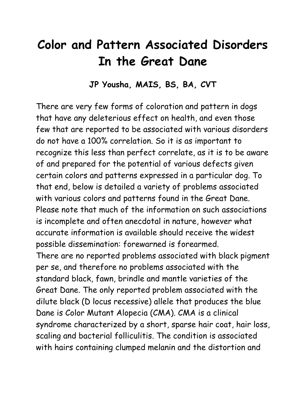## **Color and Pattern Associated Disorders In the Great Dane**

#### **JP Yousha, MAIS, BS, BA, CVT**

There are very few forms of coloration and pattern in dogs that have any deleterious effect on health, and even those few that are reported to be associated with various disorders do not have a 100% correlation. So it is as important to recognize this less than perfect correlate, as it is to be aware of and prepared for the potential of various defects given certain colors and patterns expressed in a particular dog. To that end, below is detailed a variety of problems associated with various colors and patterns found in the Great Dane. Please note that much of the information on such associations is incomplete and often anecdotal in nature, however what accurate information is available should receive the widest possible dissemination: forewarned is forearmed. There are no reported problems associated with black pigment per se, and therefore no problems associated with the standard black, fawn, brindle and mantle varieties of the Great Dane. The only reported problem associated with the dilute black (D locus recessive) allele that produces the blue

Dane is Color Mutant Alopecia (CMA). CMA is a clinical syndrome characterized by a short, sparse hair coat, hair loss, scaling and bacterial folliculitis. The condition is associated with hairs containing clumped melanin and the distortion and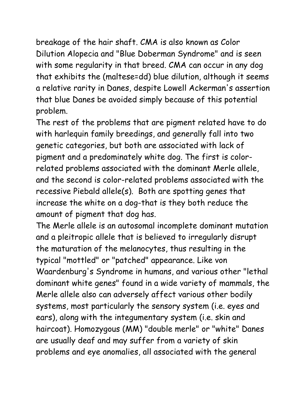breakage of the hair shaft. CMA is also known as Color Dilution Alopecia and "Blue Doberman Syndrome" and is seen with some regularity in that breed. CMA can occur in any dog that exhibits the (maltese=dd) blue dilution, although it seems a relative rarity in Danes, despite Lowell Ackerman's assertion that blue Danes be avoided simply because of this potential problem.

The rest of the problems that are pigment related have to do with harlequin family breedings, and generally fall into two genetic categories, but both are associated with lack of pigment and a predominately white dog. The first is colorrelated problems associated with the dominant Merle allele, and the second is color-related problems associated with the recessive Piebald allele(s). Both are spotting genes that increase the white on a dog-that is they both reduce the amount of pigment that dog has.

The Merle allele is an autosomal incomplete dominant mutation and a pleitropic allele that is believed to irregularly disrupt the maturation of the melanocytes, thus resulting in the typical "mottled" or "patched" appearance. Like von Waardenburg's Syndrome in humans, and various other "lethal dominant white genes" found in a wide variety of mammals, the Merle allele also can adversely affect various other bodily systems, most particularly the sensory system (i.e. eyes and ears), along with the integumentary system (i.e. skin and haircoat). Homozygous (MM) "double merle" or "white" Danes are usually deaf and may suffer from a variety of skin problems and eye anomalies, all associated with the general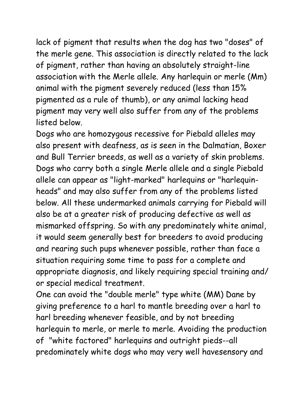lack of pigment that results when the dog has two "doses" of the merle gene. This association is directly related to the lack of pigment, rather than having an absolutely straight-line association with the Merle allele. Any harlequin or merle (Mm) animal with the pigment severely reduced (less than 15% pigmented as a rule of thumb), or any animal lacking head pigment may very well also suffer from any of the problems listed below.

Dogs who are homozygous recessive for Piebald alleles may also present with deafness, as is seen in the Dalmatian, Boxer and Bull Terrier breeds, as well as a variety of skin problems. Dogs who carry both a single Merle allele and a single Piebald allele can appear as "light-marked" harlequins or "harlequinheads" and may also suffer from any of the problems listed below. All these undermarked animals carrying for Piebald will also be at a greater risk of producing defective as well as mismarked offspring. So with any predominately white animal, it would seem generally best for breeders to avoid producing and rearing such pups whenever possible, rather than face a situation requiring some time to pass for a complete and appropriate diagnosis, and likely requiring special training and/ or special medical treatment.

One can avoid the "double merle" type white (MM) Dane by giving preference to a harl to mantle breeding over a harl to harl breeding whenever feasible, and by not breeding harlequin to merle, or merle to merle. Avoiding the production of "white factored" harlequins and outright pieds--all predominately white dogs who may very well havesensory and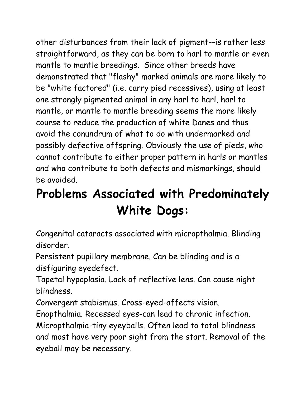other disturbances from their lack of pigment--is rather less straightforward, as they can be born to harl to mantle or even mantle to mantle breedings. Since other breeds have demonstrated that "flashy" marked animals are more likely to be "white factored" (i.e. carry pied recessives), using at least one strongly pigmented animal in any harl to harl, harl to mantle, or mantle to mantle breeding seems the more likely course to reduce the production of white Danes and thus avoid the conundrum of what to do with undermarked and possibly defective offspring. Obviously the use of pieds, who cannot contribute to either proper pattern in harls or mantles and who contribute to both defects and mismarkings, should be avoided.

# **Problems Associated with Predominately White Dogs:**

Congenital cataracts associated with micropthalmia. Blinding disorder.

Persistent pupillary membrane. Can be blinding and is a disfiguring eyedefect.

Tapetal hypoplasia. Lack of reflective lens. Can cause night blindness.

Convergent stabismus. Cross-eyed-affects vision.

Enopthalmia. Recessed eyes-can lead to chronic infection. Micropthalmia-tiny eyeyballs. Often lead to total blindness and most have very poor sight from the start. Removal of the eyeball may be necessary.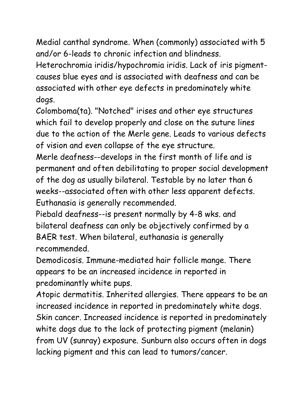Medial canthal syndrome. When (commonly) associated with 5 and/or 6-leads to chronic infection and blindness.

Heterochromia iridis/hypochromia iridis. Lack of iris pigmentcauses blue eyes and is associated with deafness and can be associated with other eye defects in predominately white dogs.

Colomboma(ta). "Notched" irises and other eye structures which fail to develop properly and close on the suture lines due to the action of the Merle gene. Leads to various defects of vision and even collapse of the eye structure.

Merle deafness--develops in the first month of life and is permanent and often debilitating to proper social development of the dog as usually bilateral. Testable by no later than 6 weeks--associated often with other less apparent defects. Euthanasia is generally recommended.

Piebald deafness--is present normally by 4-8 wks. and bilateral deafness can only be objectively confirmed by a BAER test. When bilateral, euthanasia is generally recommended.

Demodicosis. Immune-mediated hair follicle mange. There appears to be an increased incidence in reported in predominantly white pups.

Atopic dermatitis. Inherited allergies. There appears to be an increased incidence in reported in predominately white dogs. Skin cancer. Increased incidence is reported in predominately white dogs due to the lack of protecting pigment (melanin) from UV (sunray) exposure. Sunburn also occurs often in dogs lacking pigment and this can lead to tumors/cancer.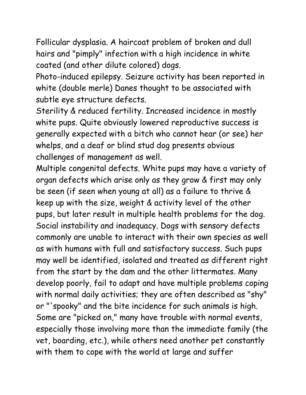Follicular dysplasia. A haircoat problem of broken and dull hairs and "pimply" infection with a high incidence in white coated (and other dilute colored) dogs.

Photo-induced epilepsy. Seizure activity has been reported in white (double merle) Danes thought to be associated with subtle eye structure defects.

Sterility & reduced fertility. Increased incidence in mostly white pups. Quite obviously lowered reproductive success is generally expected with a bitch who cannot hear (or see) her whelps, and a deaf or blind stud dog presents obvious challenges of management as well.

Multiple congenital defects. White pups may have a variety of organ defects which arise only as they grow & first may only be seen (if seen when young at all) as a failure to thrive & keep up with the size, weight & activity level of the other pups, but later result in multiple health problems for the dog. Social instability and inadequacy. Dogs with sensory defects commonly are unable to interact with their own species as well as with humans with full and satisfactory success. Such pups may well be identified, isolated and treated as different right from the start by the dam and the other littermates. Many develop poorly, fail to adapt and have multiple problems coping with normal daily activities; they are often described as "shy" or "'spooky" and the bite incidence for such animals is high. Some are "picked on," many have trouble with normal events, especially those involving more than the immediate family (the vet, boarding, etc.), while others need another pet constantly with them to cope with the world at large and suffer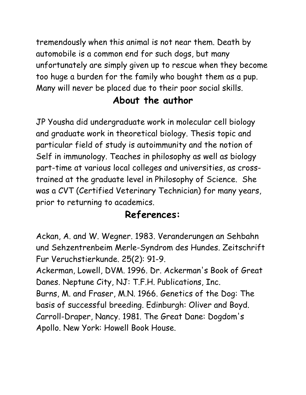tremendously when this animal is not near them. Death by automobile is a common end for such dogs, but many unfortunately are simply given up to rescue when they become too huge a burden for the family who bought them as a pup. Many will never be placed due to their poor social skills.

#### **About the author**

JP Yousha did undergraduate work in molecular cell biology and graduate work in theoretical biology. Thesis topic and particular field of study is autoimmunity and the notion of Self in immunology. Teaches in philosophy as well as biology part-time at various local colleges and universities, as crosstrained at the graduate level in Philosophy of Science. She was a CVT (Certified Veterinary Technician) for many years, prior to returning to academics.

### **References:**

Ackan, A. and W. Wegner. 1983. Veranderungen an Sehbahn und Sehzentrenbeim Merle-Syndrom des Hundes. Zeitschrift Fur Veruchstierkunde. 25(2): 91-9.

Ackerman, Lowell, DVM. 1996. Dr. Ackerman's Book of Great Danes. Neptune City, NJ: T.F.H. Publications, Inc. Burns, M. and Fraser, M.N. 1966. Genetics of the Dog: The basis of successful breeding. Edinburgh: Oliver and Boyd. Carroll-Draper, Nancy. 1981. The Great Dane: Dogdom's

Apollo. New York: Howell Book House.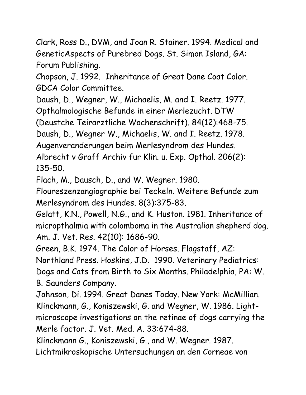Clark, Ross D., DVM, and Joan R. Stainer. 1994. Medical and GeneticAspects of Purebred Dogs. St. Simon Island, GA: Forum Publishing.

Chopson, J. 1992. Inheritance of Great Dane Coat Color. GDCA Color Committee.

Daush, D., Wegner, W., Michaelis, M. and I. Reetz. 1977. Opthalmologische Befunde in einer Merlezucht. DTW

(Deustche Teirarztliche Wochenschrift). 84(12):468-75.

Daush, D., Wegner W., Michaelis, W. and I. Reetz. 1978.

Augenveranderungen beim Merlesyndrom des Hundes.

Albrecht v Graff Archiv fur Klin. u. Exp. Opthal. 206(2): 135-50.

Flach, M., Dausch, D., and W. Wegner. 1980.

Floureszenzangiographie bei Teckeln. Weitere Befunde zum Merlesyndrom des Hundes. 8(3):375-83.

Gelatt, K.N., Powell, N.G., and K. Huston. 1981. Inheritance of micropthalmia with colomboma in the Australian shepherd dog. Am. J. Vet. Res. 42(10): 1686-90.

Green, B.K. 1974. The Color of Horses. Flagstaff, AZ: Northland Press. Hoskins, J.D. 1990. Veterinary Pediatrics: Dogs and Cats from Birth to Six Months. Philadelphia, PA: W. B. Saunders Company.

Johnson, Di. 1994. Great Danes Today. New York: McMillian. Klinckmann, G., Koniszewski, G. and Wegner, W. 1986. Lightmicroscope investigations on the retinae of dogs carrying the Merle factor. J. Vet. Med. A. 33:674-88.

Klinckmann G., Koniszewski, G., and W. Wegner. 1987.

Lichtmikroskopische Untersuchungen an den Corneae von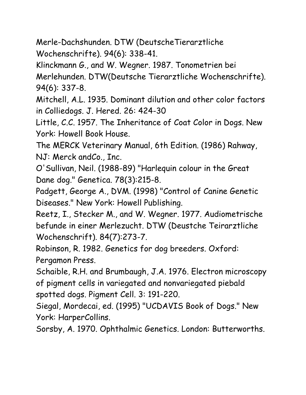Merle-Dachshunden. DTW (DeutscheTierarztliche Wochenschrifte). 94(6): 338-41.

Klinckmann G., and W. Wegner. 1987. Tonometrien bei

Merlehunden. DTW(Deutsche Tierarztliche Wochenschrifte). 94(6): 337-8.

Mitchell, A.L. 1935. Dominant dilution and other color factors in Colliedogs. J. Hered. 26: 424-30

Little, C.C. 1957. The Inheritance of Coat Color in Dogs. New York: Howell Book House.

The MERCK Veterinary Manual, 6th Edition. (1986) Rahway, NJ: Merck andCo., Inc.

O'Sullivan, Neil. (1988-89) "Harlequin colour in the Great Dane dog." Genetica. 78(3):215-8.

Padgett, George A., DVM. (1998) "Control of Canine Genetic Diseases." New York: Howell Publishing.

Reetz, I., Stecker M., and W. Wegner. 1977. Audiometrische befunde in einer Merlezucht. DTW (Deustche Teirarztliche Wochenschrift). 84(7):273-7.

Robinson, R. 1982. Genetics for dog breeders. Oxford: Pergamon Press.

Schaible, R.H. and Brumbaugh, J.A. 1976. Electron microscopy of pigment cells in variegated and nonvariegated piebald spotted dogs. Pigment Cell. 3: 191-220.

Siegal, Mordecai, ed. (1995) "UCDAVIS Book of Dogs." New York: HarperCollins.

Sorsby, A. 1970. Ophthalmic Genetics. London: Butterworths.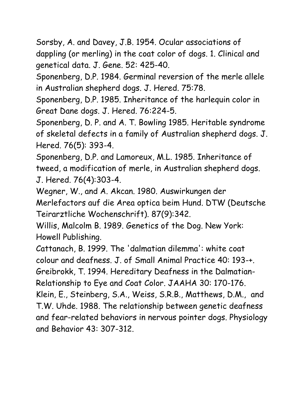Sorsby, A. and Davey, J.B. 1954. Ocular associations of dappling (or merling) in the coat color of dogs. 1. Clinical and genetical data. J. Gene. 52: 425-40.

Sponenberg, D.P. 1984. Germinal reversion of the merle allele in Australian shepherd dogs. J. Hered. 75:78.

Sponenberg, D.P. 1985. Inheritance of the harlequin color in Great Dane dogs. J. Hered. 76:224-5.

Sponenberg, D. P. and A. T. Bowling 1985. Heritable syndrome of skeletal defects in a family of Australian shepherd dogs. J. Hered. 76(5): 393-4.

Sponenberg, D.P. and Lamoreux, M.L. 1985. Inheritance of tweed, a modification of merle, in Australian shepherd dogs. J. Hered. 76(4):303-4.

Wegner, W., and A. Akcan. 1980. Auswirkungen der Merlefactors auf die Area optica beim Hund. DTW (Deutsche Teirarztliche Wochenschrift). 87(9):342.

Willis, Malcolm B. 1989. Genetics of the Dog. New York: Howell Publishing.

Cattanach, B. 1999. The 'dalmatian dilemma': white coat colour and deafness. J. of Small Animal Practice 40: 193-+.

Greibrokk, T. 1994. Hereditary Deafness in the Dalmatian-Relationship to Eye and Coat Color. JAAHA 30: 170-176.

Klein, E., Steinberg, S.A., Weiss, S.R.B., Matthews, D.M., and T.W. Uhde. 1988. The relationship between genetic deafness and fear-related behaviors in nervous pointer dogs. Physiology and Behavior 43: 307-312.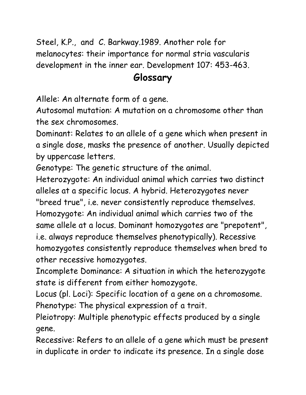Steel, K.P., and C. Barkway.1989. Another role for melanocytes: their importance for normal stria vascularis development in the inner ear. Development 107: 453-463.

#### **Glossary**

Allele: An alternate form of a gene.

Autosomal mutation: A mutation on a chromosome other than the sex chromosomes.

Dominant: Relates to an allele of a gene which when present in a single dose, masks the presence of another. Usually depicted by uppercase letters.

Genotype: The genetic structure of the animal.

Heterozygote: An individual animal which carries two distinct alleles at a specific locus. A hybrid. Heterozygotes never "breed true", i.e. never consistently reproduce themselves. Homozygote: An individual animal which carries two of the same allele at a locus. Dominant homozygotes are "prepotent", i.e. always reproduce themselves phenotypically). Recessive homozygotes consistently reproduce themselves when bred to other recessive homozygotes.

Incomplete Dominance: A situation in which the heterozygote state is different from either homozygote.

Locus (pl. Loci): Specific location of a gene on a chromosome. Phenotype: The physical expression of a trait.

Pleiotropy: Multiple phenotypic effects produced by a single gene.

Recessive: Refers to an allele of a gene which must be present in duplicate in order to indicate its presence. In a single dose